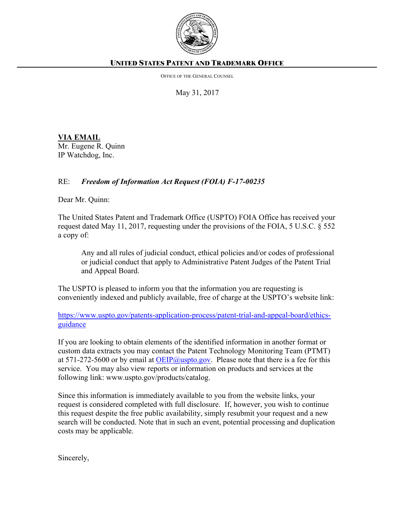

## **UNITED STATES PATENT AND TRADEMARK OFFICE**

OFFICE OF THE GENERAL COUNSEL

May 31, 2017

**VIA EMAIL** Mr. Eugene R. Quinn IP Watchdog, Inc.

## RE: *Freedom of Information Act Request (FOIA) F-17-00235*

Dear Mr. Quinn:

The United States Patent and Trademark Office (USPTO) FOIA Office has received your request dated May 11, 2017, requesting under the provisions of the FOIA, 5 U.S.C. § 552 a copy of:

Any and all rules of judicial conduct, ethical policies and/or codes of professional or judicial conduct that apply to Administrative Patent Judges of the Patent Trial and Appeal Board.

The USPTO is pleased to inform you that the information you are requesting is conveniently indexed and publicly available, free of charge at the USPTO's website link:

[https://www.uspto.gov/patents-application-process/patent-trial-and-appeal-board/ethics](https://www.uspto.gov/patents-application-process/patent-trial-and-appeal-board/ethics-guidance)[guidance](https://www.uspto.gov/patents-application-process/patent-trial-and-appeal-board/ethics-guidance)

If you are looking to obtain elements of the identified information in another format or custom data extracts you may contact the Patent Technology Monitoring Team (PTMT) at  $571-272-5600$  or by email at [OEIP@uspto.gov.](mailto:OEIP@uspto.gov) Please note that there is a fee for this service. You may also view reports or information on products and services at the following link: www.uspto.gov/products/catalog.

Since this information is immediately available to you from the website links, your request is considered completed with full disclosure. If, however, you wish to continue this request despite the free public availability, simply resubmit your request and a new search will be conducted. Note that in such an event, potential processing and duplication costs may be applicable.

Sincerely,